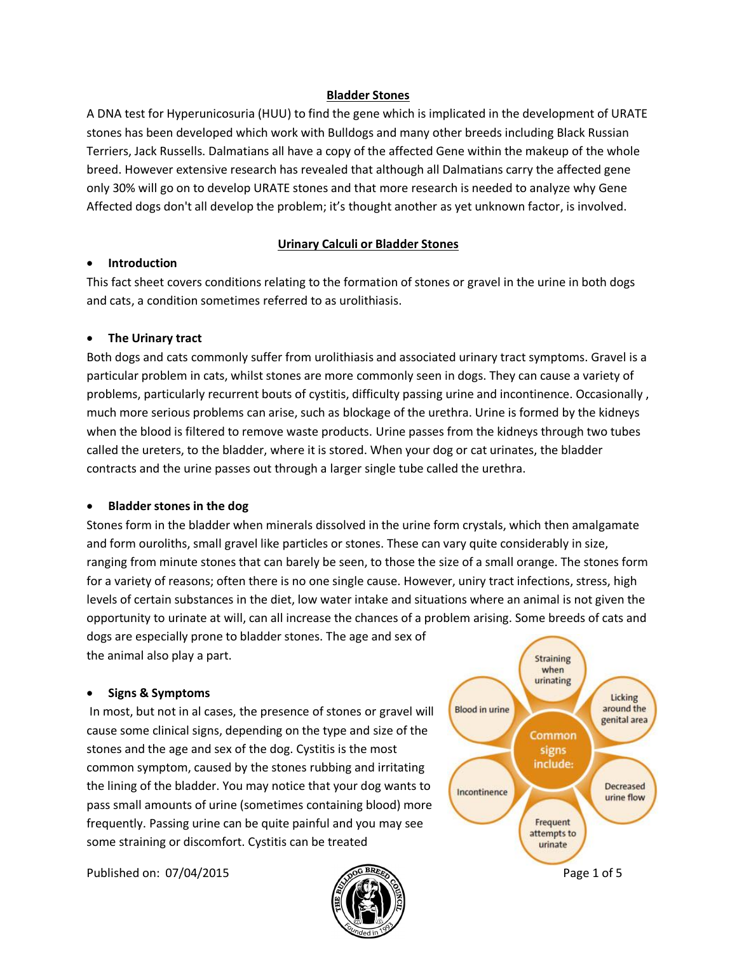#### **Bladder Stones**

A DNA test for Hyperunicosuria (HUU) to find the gene which is implicated in the development of URATE stones has been developed which work with Bulldogs and many other breeds including Black Russian Terriers, Jack Russells. Dalmatians all have a copy of the affected Gene within the makeup of the whole breed. However extensive research has revealed that although all Dalmatians carry the affected gene only 30% will go on to develop URATE stones and that more research is needed to analyze why Gene Affected dogs don't all develop the problem; it's thought another as yet unknown factor, is involved.

### **Urinary Calculi or Bladder Stones**

#### · **Introduction**

This fact sheet covers conditions relating to the formation of stones or gravel in the urine in both dogs and cats, a condition sometimes referred to as urolithiasis.

### · **The Urinary tract**

Both dogs and cats commonly suffer from urolithiasis and associated urinary tract symptoms. Gravel is a particular problem in cats, whilst stones are more commonly seen in dogs. They can cause a variety of problems, particularly recurrent bouts of cystitis, difficulty passing urine and incontinence. Occasionally , much more serious problems can arise, such as blockage of the urethra. Urine is formed by the kidneys when the blood is filtered to remove waste products. Urine passes from the kidneys through two tubes called the ureters, to the bladder, where it is stored. When your dog or cat urinates, the bladder contracts and the urine passes out through a larger single tube called the urethra.

#### · **Bladder stones in the dog**

Stones form in the bladder when minerals dissolved in the urine form crystals, which then amalgamate and form ouroliths, small gravel like particles or stones. These can vary quite considerably in size, ranging from minute stones that can barely be seen, to those the size of a small orange. The stones form for a variety of reasons; often there is no one single cause. However, uniry tract infections, stress, high levels of certain substances in the diet, low water intake and situations where an animal is not given the opportunity to urinate at will, can all increase the chances of a problem arising. Some breeds of cats and dogs are especially prone to bladder stones. The age and sex of

the animal also play a part.

#### · **Signs & Symptoms**

In most, but not in al cases, the presence of stones or gravel will cause some clinical signs, depending on the type and size of the stones and the age and sex of the dog. Cystitis is the most common symptom, caused by the stones rubbing and irritating the lining of the bladder. You may notice that your dog wants to pass small amounts of urine (sometimes containing blood) more frequently. Passing urine can be quite painful and you may see some straining or discomfort. Cystitis can be treated

Published on: 07/04/2015 **Page 1 of 5** Page 1 of 5



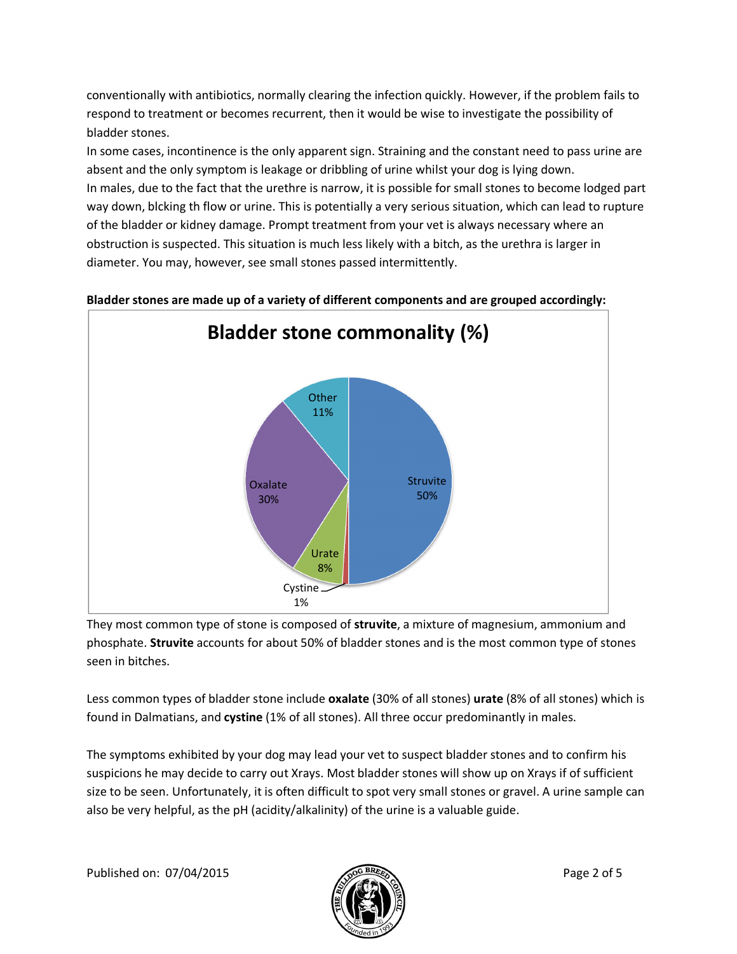conventionally with antibiotics, normally clearing the infection quickly. However, if the problem fails to respond to treatment or becomes recurrent, then it would be wise to investigate the possibility of bladder stones.

In some cases, incontinence is the only apparent sign. Straining and the constant need to pass urine are absent and the only symptom is leakage or dribbling of urine whilst your dog is lying down. In males, due to the fact that the urethre is narrow, it is possible for small stones to become lodged part way down, blcking th flow or urine. This is potentially a very serious situation, which can lead to rupture of the bladder or kidney damage. Prompt treatment from your vet is always necessary where an obstruction is suspected. This situation is much less likely with a bitch, as the urethra is larger in diameter. You may, however, see small stones passed intermittently.



**Bladder stones are made up of a variety of different components and are grouped accordingly:**

They most common type of stone is composed of **struvite**, a mixture of magnesium, ammonium and phosphate. **Struvite** accounts for about 50% of bladder stones and is the most common type of stones seen in bitches.

Less common types of bladder stone include **oxalate** (30% of all stones) **urate** (8% of all stones) which is found in Dalmatians, and **cystine** (1% of all stones). All three occur predominantly in males.

The symptoms exhibited by your dog may lead your vet to suspect bladder stones and to confirm his suspicions he may decide to carry out Xrays. Most bladder stones will show up on Xrays if of sufficient size to be seen. Unfortunately, it is often difficult to spot very small stones or gravel. A urine sample can also be very helpful, as the pH (acidity/alkalinity) of the urine is a valuable guide.

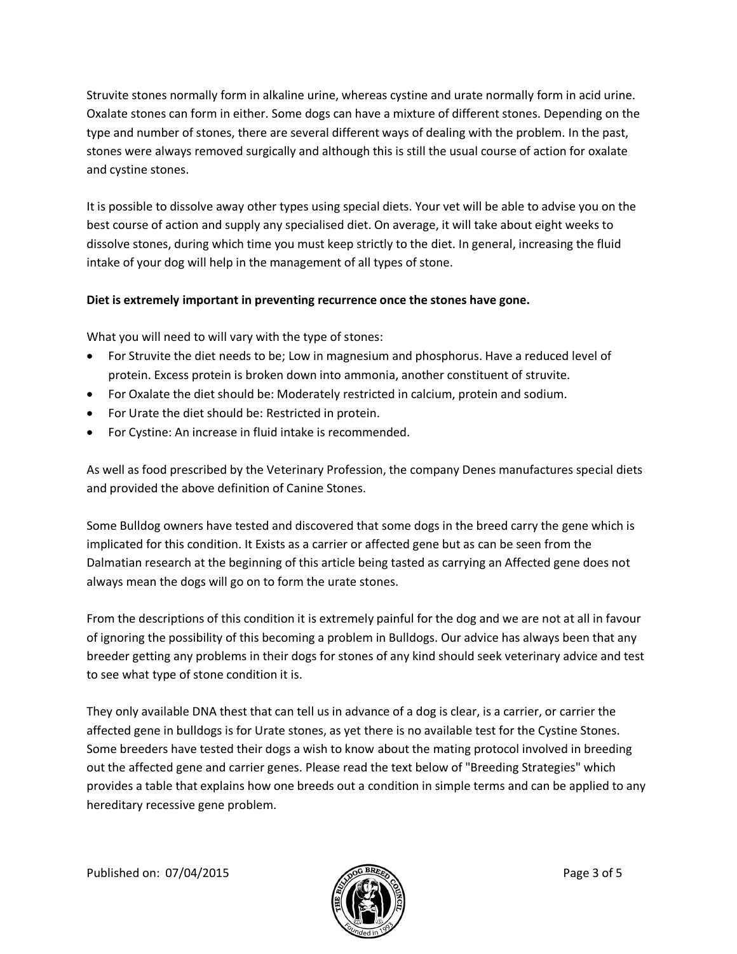Struvite stones normally form in alkaline urine, whereas cystine and urate normally form in acid urine. Oxalate stones can form in either. Some dogs can have a mixture of different stones. Depending on the type and number of stones, there are several different ways of dealing with the problem. In the past, stones were always removed surgically and although this is still the usual course of action for oxalate and cystine stones.

It is possible to dissolve away other types using special diets. Your vet will be able to advise you on the best course of action and supply any specialised diet. On average, it will take about eight weeks to dissolve stones, during which time you must keep strictly to the diet. In general, increasing the fluid intake of your dog will help in the management of all types of stone.

### **Diet is extremely important in preventing recurrence once the stones have gone.**

What you will need to will vary with the type of stones:

- · For Struvite the diet needs to be; Low in magnesium and phosphorus. Have a reduced level of protein. Excess protein is broken down into ammonia, another constituent of struvite.
- · For Oxalate the diet should be: Moderately restricted in calcium, protein and sodium.
- · For Urate the diet should be: Restricted in protein.
- · For Cystine: An increase in fluid intake is recommended.

As well as food prescribed by the Veterinary Profession, the company Denes manufactures special diets and provided the above definition of Canine Stones.

Some Bulldog owners have tested and discovered that some dogs in the breed carry the gene which is implicated for this condition. It Exists as a carrier or affected gene but as can be seen from the Dalmatian research at the beginning of this article being tasted as carrying an Affected gene does not always mean the dogs will go on to form the urate stones.

From the descriptions of this condition it is extremely painful for the dog and we are not at all in favour of ignoring the possibility of this becoming a problem in Bulldogs. Our advice has always been that any breeder getting any problems in their dogs for stones of any kind should seek veterinary advice and test to see what type of stone condition it is.

They only available DNA thest that can tell us in advance of a dog is clear, is a carrier, or carrier the affected gene in bulldogs is for Urate stones, as yet there is no available test for the Cystine Stones. Some breeders have tested their dogs a wish to know about the mating protocol involved in breeding out the affected gene and carrier genes. Please read the text below of "Breeding Strategies" which provides a table that explains how one breeds out a condition in simple terms and can be applied to any hereditary recessive gene problem.

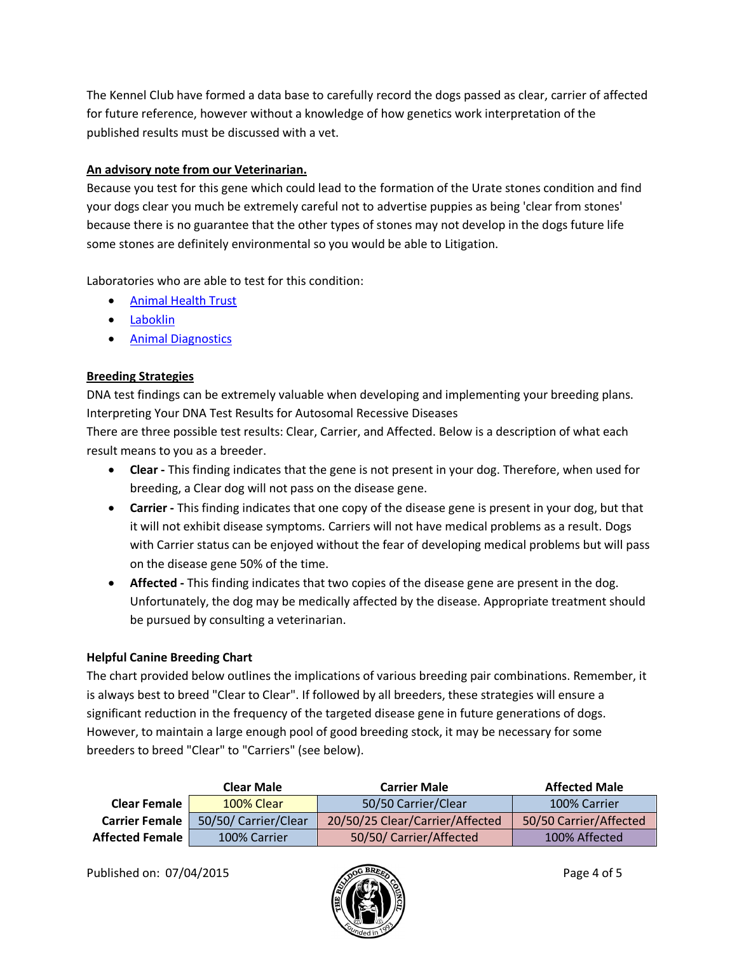The Kennel Club have formed a data base to carefully record the dogs passed as clear, carrier of affected for future reference, however without a knowledge of how genetics work interpretation of the published results must be discussed with a vet.

# **An advisory note from our Veterinarian.**

Because you test for this gene which could lead to the formation of the Urate stones condition and find your dogs clear you much be extremely careful not to advertise puppies as being 'clear from stones' because there is no guarantee that the other types of stones may not develop in the dogs future life some stones are definitely environmental so you would be able to Litigation.

Laboratories who are able to test for this condition:

- · Animal Health Trust
- · Laboklin
- · Animal Diagnostics

# **Breeding Strategies**

DNA test findings can be extremely valuable when developing and implementing your breeding plans. Interpreting Your DNA Test Results for Autosomal Recessive Diseases

There are three possible test results: Clear, Carrier, and Affected. Below is a description of what each result means to you as a breeder.

- · **Clear -** This finding indicates that the gene is not present in your dog. Therefore, when used for breeding, a Clear dog will not pass on the disease gene.
- · **Carrier -** This finding indicates that one copy of the disease gene is present in your dog, but that it will not exhibit disease symptoms. Carriers will not have medical problems as a result. Dogs with Carrier status can be enjoyed without the fear of developing medical problems but will pass on the disease gene 50% of the time.
- · **Affected -** This finding indicates that two copies of the disease gene are present in the dog. Unfortunately, the dog may be medically affected by the disease. Appropriate treatment should be pursued by consulting a veterinarian.

# **Helpful Canine Breeding Chart**

The chart provided below outlines the implications of various breeding pair combinations. Remember, it is always best to breed "Clear to Clear". If followed by all breeders, these strategies will ensure a significant reduction in the frequency of the targeted disease gene in future generations of dogs. However, to maintain a large enough pool of good breeding stock, it may be necessary for some breeders to breed "Clear" to "Carriers" (see below).

|                        | <b>Clear Male</b>    | <b>Carrier Male</b>             | <b>Affected Male</b>   |
|------------------------|----------------------|---------------------------------|------------------------|
| <b>Clear Female</b>    | 100% Clear           | 50/50 Carrier/Clear             | 100% Carrier           |
| <b>Carrier Female</b>  | 50/50/ Carrier/Clear | 20/50/25 Clear/Carrier/Affected | 50/50 Carrier/Affected |
| <b>Affected Female</b> | 100% Carrier         | 50/50/ Carrier/Affected         | 100% Affected          |